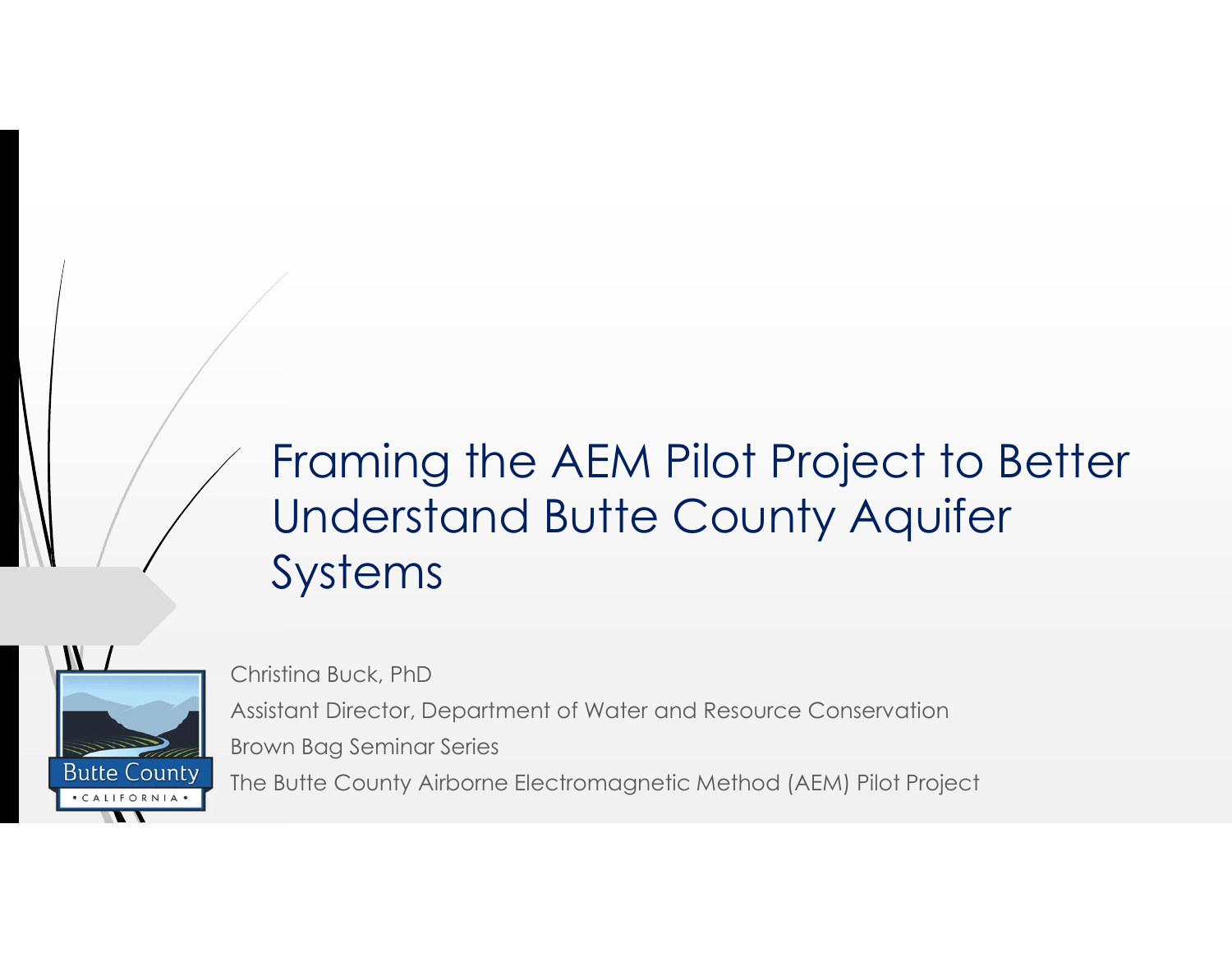# Framing the AEM Pilot Project to Better Understand Butte County Aquifer Systems Framing the AEM Pilot Project to Better<br>Understand Butte County Aquifer<br>Systems<br>Christina Buck, PhD<br>Assistant Director, Department of Water and Resource Conservation<br>Brown Bag Seminar Series<br>The Butte County Airbome Electr



Christina Buck, PhD Brown Bag Seminar Series The Butte County Airborne Electromagnetic Method (AEM) Pilot Project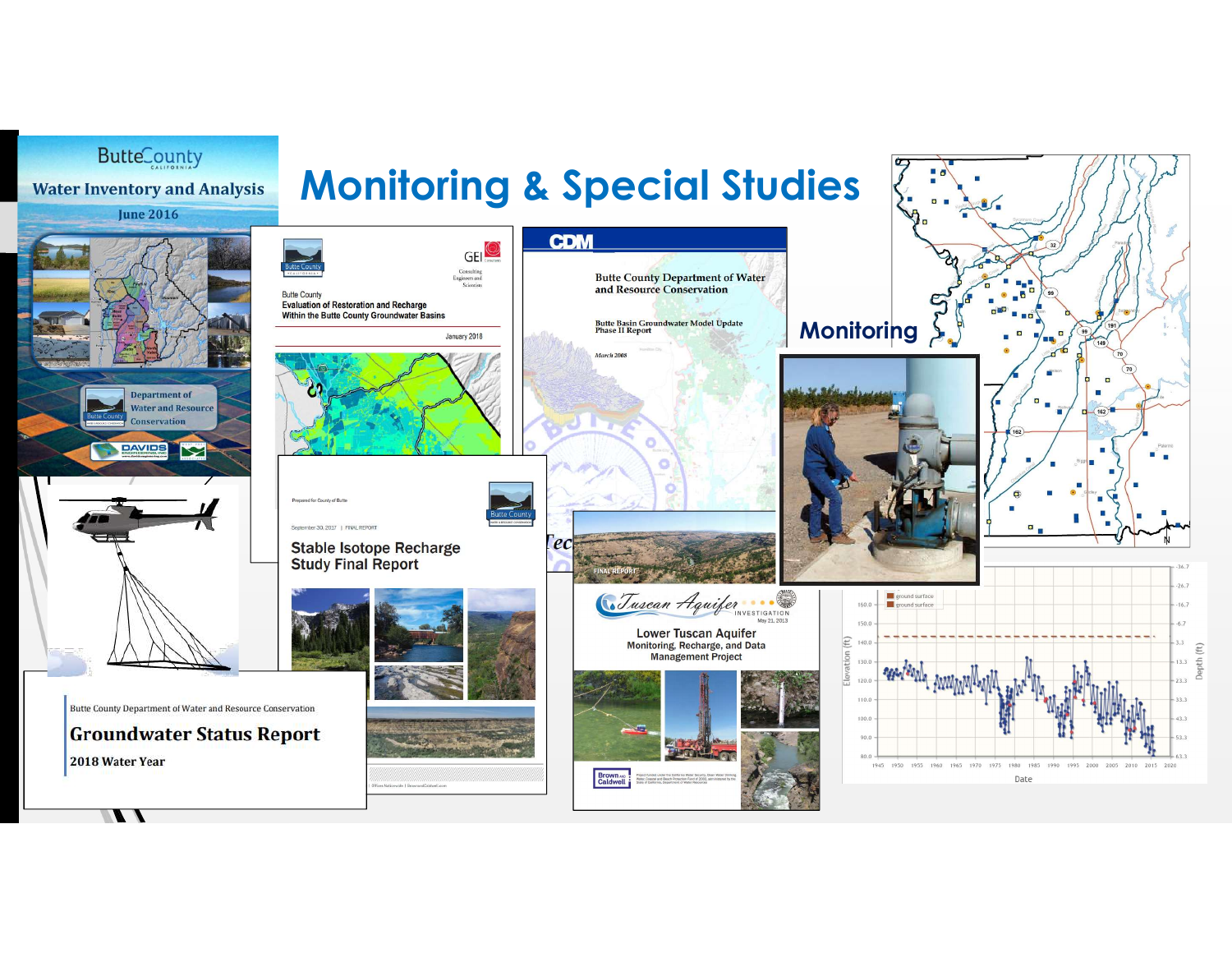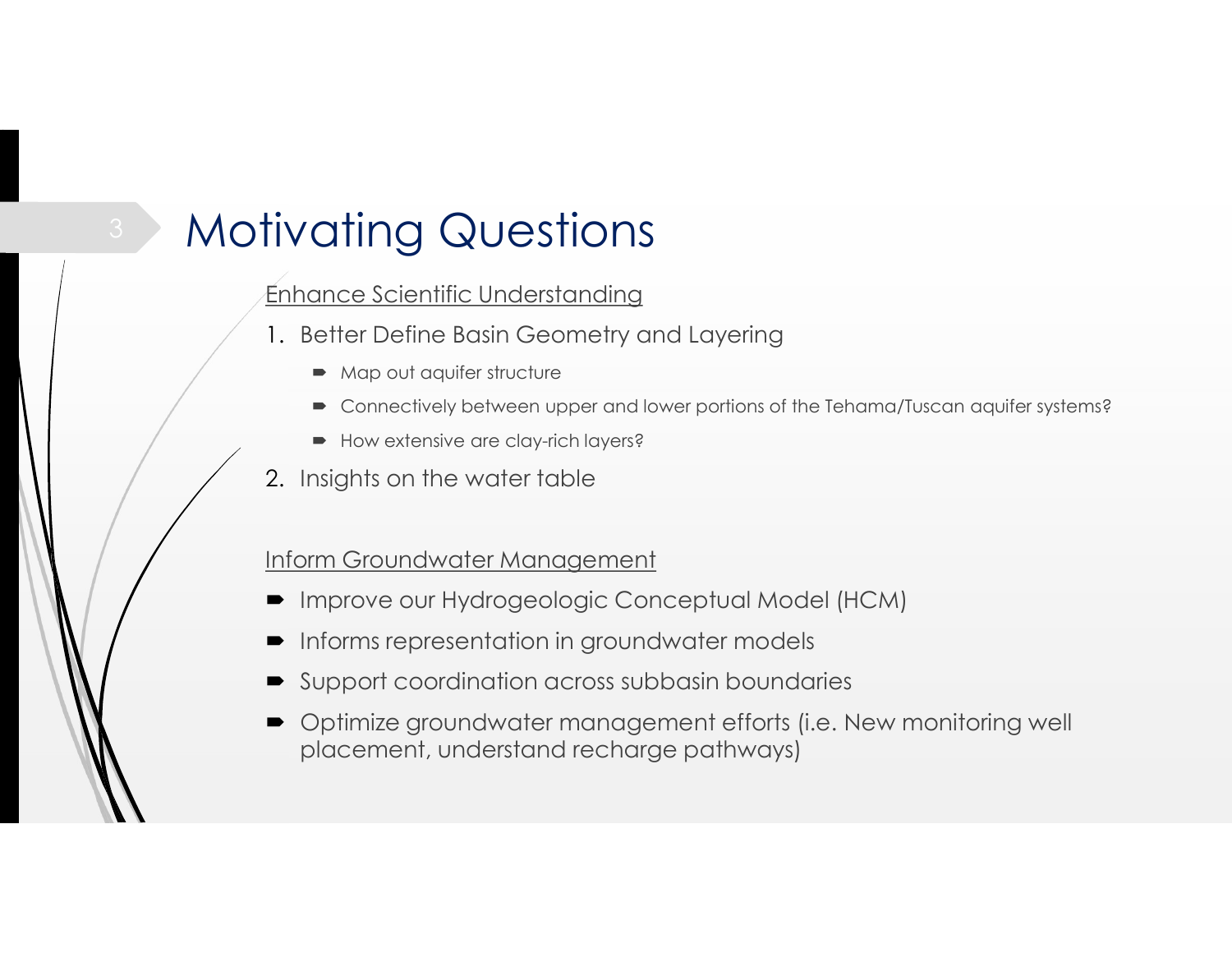# **Motivating Questions** Finhance Scientific Understanding<br>
I. Better Define Basin Geometry and Layering<br>
• Map out aquifer structure<br>
• Connectively between upper and lower portions of the Tehama/Tuscan aquifer systems?<br>
• How extensive are clay-

#### Enhance Scientific Understanding

- 1. Better Define Basin Geometry and Layering
	- Map out aquifer structure
	- Connectively between upper and lower portions of the Tehama/Tuscan aquifer systems?
	- How extensive are clay-rich layers?
- 2. Insights on the water table

#### Inform Groundwater Management

- 
- Informs representation in groundwater models
- 
- Enhance Scientific Understanding<br>
1. Better Define Basin Geometry and Layering<br>
→ Map out aquifer structure<br>
→ Connectively between upper and lower portions of the Tehama/Tuscan aquifer systems?<br>
→ How extensive are clay- Optimize groundwater management efforts (i.e. New monitoring well placement, understand recharge pathways)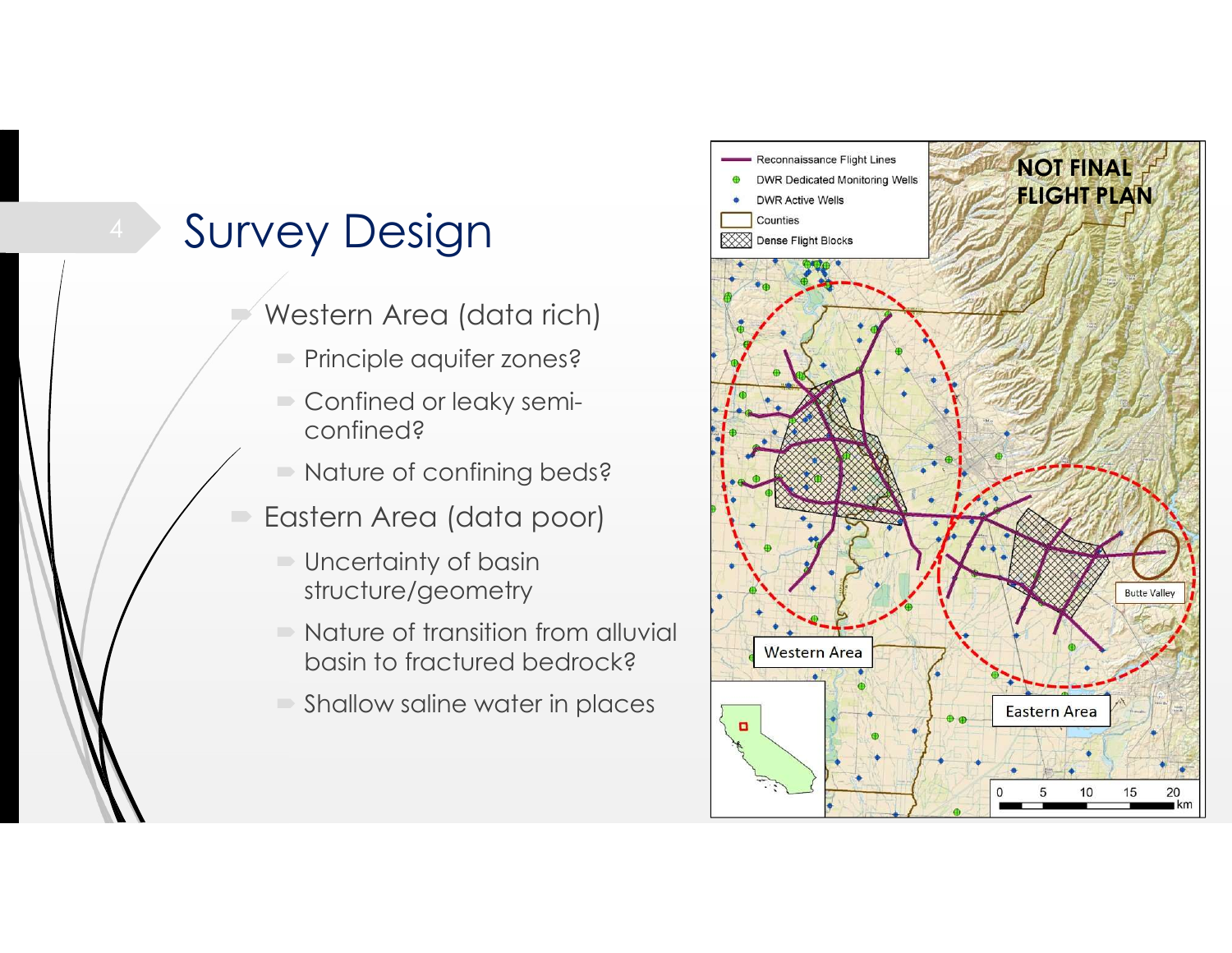## Survey Design **Exercise** Pense Flight Blocks

- Western Area (data rich)
	- Principle aquifer zones?
	- Confined or leaky semiconfined?
	- Nature of confining beds?
- Eastern Area (data poor)
	- Uncertainty of basin structure/geometry
	- Nature of transition from alluvial basin to fractured bedrock?
	- Shallow saline water in places